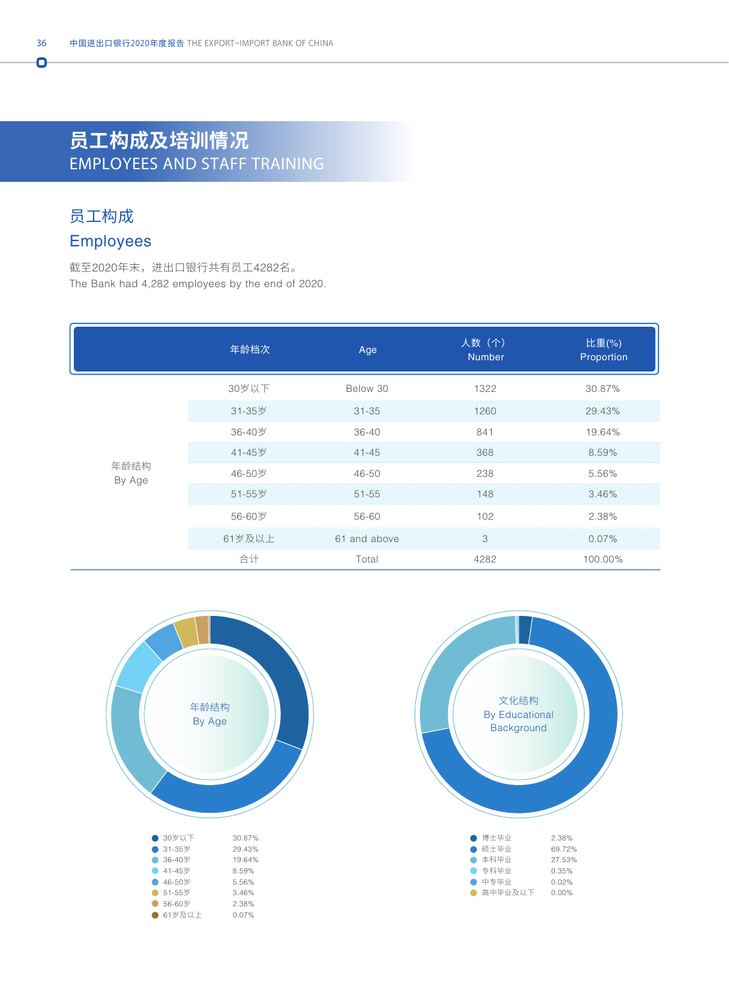# **员工构成及培训情况** EMPLOYEES AND STAFF TRAINING

## 员工构成

Ō

### Employees

截至2020年末,进出口银行共有员工4282名。 The Bank had 4,282 employees by the end of 2020.

|                | 年龄档次   | Age          | 人数(个)<br><b>Number</b> | 比重(%)<br>Proportion |
|----------------|--------|--------------|------------------------|---------------------|
| 年龄结构<br>By Age | 30岁以下  | Below 30     | 1322                   | 30.87%              |
|                | 31-35岁 | $31 - 35$    | 1260                   | 29.43%              |
|                | 36-40岁 | 36-40        | 841                    | 19.64%              |
|                | 41-45岁 | $41 - 45$    | 368                    | 8.59%               |
|                | 46-50岁 | 46-50        | 238                    | 5.56%               |
|                | 51-55岁 | $51 - 55$    | 148                    | 3.46%               |
|                | 56-60岁 | 56-60        | 102                    | 2.38%               |
|                | 61岁及以上 | 61 and above | 3                      | 0.07%               |
|                | 合计     | Total        | 4282                   | 100.00%             |